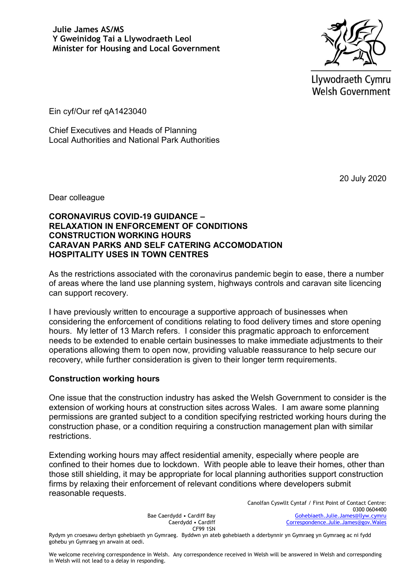

Llywodraeth Cymru **Welsh Government** 

Ein cyf/Our ref qA1423040

Chief Executives and Heads of Planning Local Authorities and National Park Authorities

20 July 2020

Dear colleague

### **CORONAVIRUS COVID-19 GUIDANCE – RELAXATION IN ENFORCEMENT OF CONDITIONS CONSTRUCTION WORKING HOURS CARAVAN PARKS AND SELF CATERING ACCOMODATION HOSPITALITY USES IN TOWN CENTRES**

As the restrictions associated with the coronavirus pandemic begin to ease, there a number of areas where the land use planning system, highways controls and caravan site licencing can support recovery.

I have previously written to encourage a supportive approach of businesses when considering the enforcement of conditions relating to food delivery times and store opening hours. My letter of 13 March refers. I consider this pragmatic approach to enforcement needs to be extended to enable certain businesses to make immediate adjustments to their operations allowing them to open now, providing valuable reassurance to help secure our recovery, while further consideration is given to their longer term requirements.

# **Construction working hours**

One issue that the construction industry has asked the Welsh Government to consider is the extension of working hours at construction sites across Wales. I am aware some planning permissions are granted subject to a condition specifying restricted working hours during the construction phase, or a condition requiring a construction management plan with similar restrictions.

Extending working hours may affect residential amenity, especially where people are confined to their homes due to lockdown. With people able to leave their homes, other than those still shielding, it may be appropriate for local planning authorities support construction firms by relaxing their enforcement of relevant conditions where developers submit reasonable requests.

> Bae Caerdydd • Cardiff Bay Caerdydd • Cardiff CF99 1SN

Canolfan Cyswllt Cyntaf / First Point of Contact Centre: 0300 0604400 [Gohebiaeth.Julie.James@llyw.cymru](mailto:Gohebiaeth.Julie.James@llyw.cymru) [Correspondence.Julie.James@gov.Wales](mailto:Correspondence.Julie.James@gov.Wales)

Rydym yn croesawu derbyn gohebiaeth yn Gymraeg. Byddwn yn ateb gohebiaeth a dderbynnir yn Gymraeg yn Gymraeg ac ni fydd gohebu yn Gymraeg yn arwain at oedi.

We welcome receiving correspondence in Welsh. Any correspondence received in Welsh will be answered in Welsh and corresponding in Welsh will not lead to a delay in responding.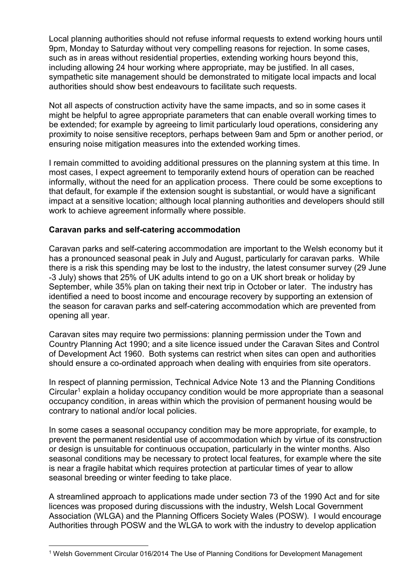Local planning authorities should not refuse informal requests to extend working hours until 9pm, Monday to Saturday without very compelling reasons for rejection. In some cases, such as in areas without residential properties, extending working hours beyond this, including allowing 24 hour working where appropriate, may be justified. In all cases, sympathetic site management should be demonstrated to mitigate local impacts and local authorities should show best endeavours to facilitate such requests.

Not all aspects of construction activity have the same impacts, and so in some cases it might be helpful to agree appropriate parameters that can enable overall working times to be extended; for example by agreeing to limit particularly loud operations, considering any proximity to noise sensitive receptors, perhaps between 9am and 5pm or another period, or ensuring noise mitigation measures into the extended working times.

I remain committed to avoiding additional pressures on the planning system at this time. In most cases, I expect agreement to temporarily extend hours of operation can be reached informally, without the need for an application process. There could be some exceptions to that default, for example if the extension sought is substantial, or would have a significant impact at a sensitive location; although local planning authorities and developers should still work to achieve agreement informally where possible.

# **Caravan parks and self-catering accommodation**

Caravan parks and self-catering accommodation are important to the Welsh economy but it has a pronounced seasonal peak in July and August, particularly for caravan parks. While there is a risk this spending may be lost to the industry, the latest consumer survey (29 June -3 July) shows that 25% of UK adults intend to go on a UK short break or holiday by September, while 35% plan on taking their next trip in October or later. The industry has identified a need to boost income and encourage recovery by supporting an extension of the season for caravan parks and self-catering accommodation which are prevented from opening all year.

Caravan sites may require two permissions: planning permission under the Town and Country Planning Act 1990; and a site licence issued under the Caravan Sites and Control of Development Act 1960. Both systems can restrict when sites can open and authorities should ensure a co-ordinated approach when dealing with enquiries from site operators.

In respect of planning permission, Technical Advice Note 13 and the Planning Conditions Circular<sup>1</sup> explain a holiday occupancy condition would be more appropriate than a seasonal occupancy condition, in areas within which the provision of permanent housing would be contrary to national and/or local policies.

In some cases a seasonal occupancy condition may be more appropriate, for example, to prevent the permanent residential use of accommodation which by virtue of its construction or design is unsuitable for continuous occupation, particularly in the winter months. Also seasonal conditions may be necessary to protect local features, for example where the site is near a fragile habitat which requires protection at particular times of year to allow seasonal breeding or winter feeding to take place.

A streamlined approach to applications made under section 73 of the 1990 Act and for site licences was proposed during discussions with the industry, Welsh Local Government Association (WLGA) and the Planning Officers Society Wales (POSW). I would encourage Authorities through POSW and the WLGA to work with the industry to develop application

<sup>1</sup> Welsh Government Circular 016/2014 The Use of Planning Conditions for Development Management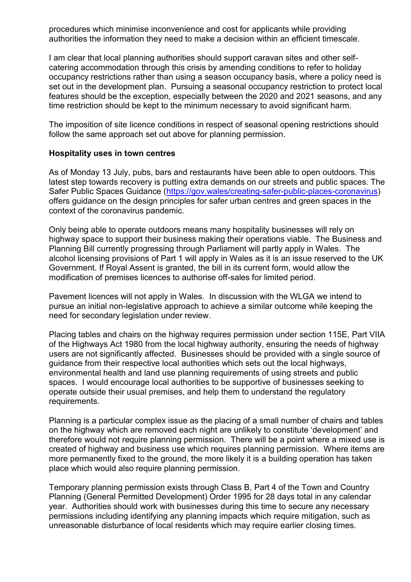procedures which minimise inconvenience and cost for applicants while providing authorities the information they need to make a decision within an efficient timescale.

I am clear that local planning authorities should support caravan sites and other selfcatering accommodation through this crisis by amending conditions to refer to holiday occupancy restrictions rather than using a season occupancy basis, where a policy need is set out in the development plan. Pursuing a seasonal occupancy restriction to protect local features should be the exception, especially between the 2020 and 2021 seasons, and any time restriction should be kept to the minimum necessary to avoid significant harm.

The imposition of site licence conditions in respect of seasonal opening restrictions should follow the same approach set out above for planning permission.

### **Hospitality uses in town centres**

As of Monday 13 July, pubs, bars and restaurants have been able to open outdoors. This latest step towards recovery is putting extra demands on our streets and public spaces. The Safer Public Spaces Guidance [\(https://gov.wales/creating-safer-public-places-coronavirus\)](https://gov.wales/creating-safer-public-places-coronavirus) offers guidance on the design principles for safer urban centres and green spaces in the context of the coronavirus pandemic.

Only being able to operate outdoors means many hospitality businesses will rely on highway space to support their business making their operations viable. The Business and Planning Bill currently progressing through Parliament will partly apply in Wales. The alcohol licensing provisions of Part 1 will apply in Wales as it is an issue reserved to the UK Government. If Royal Assent is granted, the bill in its current form, would allow the modification of premises licences to authorise off-sales for limited period.

Pavement licences will not apply in Wales. In discussion with the WLGA we intend to pursue an initial non-legislative approach to achieve a similar outcome while keeping the need for secondary legislation under review.

Placing tables and chairs on the highway requires permission under section 115E, Part VIIA of the Highways Act 1980 from the local highway authority, ensuring the needs of highway users are not significantly affected. Businesses should be provided with a single source of guidance from their respective local authorities which sets out the local highways, environmental health and land use planning requirements of using streets and public spaces. I would encourage local authorities to be supportive of businesses seeking to operate outside their usual premises, and help them to understand the regulatory requirements.

Planning is a particular complex issue as the placing of a small number of chairs and tables on the highway which are removed each night are unlikely to constitute 'development' and therefore would not require planning permission. There will be a point where a mixed use is created of highway and business use which requires planning permission. Where items are more permanently fixed to the ground, the more likely it is a building operation has taken place which would also require planning permission.

Temporary planning permission exists through Class B, Part 4 of the Town and Country Planning (General Permitted Development) Order 1995 for 28 days total in any calendar year. Authorities should work with businesses during this time to secure any necessary permissions including identifying any planning impacts which require mitigation, such as unreasonable disturbance of local residents which may require earlier closing times.